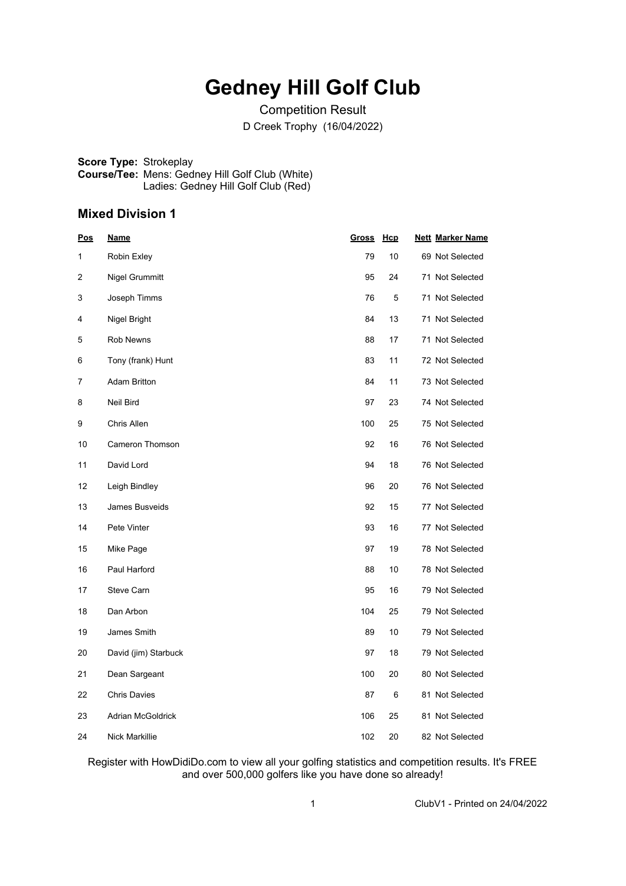## **Gedney Hill Golf Club**

Competition Result D Creek Trophy (16/04/2022)

**Score Type:** Strokeplay **Course/Tee:** Mens: Gedney Hill Golf Club (White) Ladies: Gedney Hill Golf Club (Red)

#### **Mixed Division 1**

| <u>Pos</u> | <u>Name</u>           | <b>Gross</b> | <u>Hcp</u> | <b>Nett Marker Name</b> |
|------------|-----------------------|--------------|------------|-------------------------|
| 1          | Robin Exley           | 79           | 10         | 69 Not Selected         |
| 2          | Nigel Grummitt        | 95           | 24         | 71 Not Selected         |
| 3          | Joseph Timms          | 76           | 5          | 71 Not Selected         |
| 4          | Nigel Bright          | 84           | 13         | 71 Not Selected         |
| 5          | Rob Newns             | 88           | 17         | 71 Not Selected         |
| 6          | Tony (frank) Hunt     | 83           | 11         | 72 Not Selected         |
| 7          | <b>Adam Britton</b>   | 84           | 11         | 73 Not Selected         |
| 8          | Neil Bird             | 97           | 23         | 74 Not Selected         |
| 9          | Chris Allen           | 100          | 25         | 75 Not Selected         |
| 10         | Cameron Thomson       | 92           | 16         | 76 Not Selected         |
| 11         | David Lord            | 94           | 18         | 76 Not Selected         |
| 12         | Leigh Bindley         | 96           | 20         | 76 Not Selected         |
| 13         | James Busveids        | 92           | 15         | 77 Not Selected         |
| 14         | Pete Vinter           | 93           | 16         | 77 Not Selected         |
| 15         | Mike Page             | 97           | 19         | 78 Not Selected         |
| 16         | Paul Harford          | 88           | 10         | 78 Not Selected         |
| 17         | Steve Carn            | 95           | 16         | 79 Not Selected         |
| 18         | Dan Arbon             | 104          | 25         | 79 Not Selected         |
| 19         | James Smith           | 89           | 10         | 79 Not Selected         |
| 20         | David (jim) Starbuck  | 97           | 18         | 79 Not Selected         |
| 21         | Dean Sargeant         | 100          | 20         | 80 Not Selected         |
| 22         | <b>Chris Davies</b>   | 87           | 6          | 81 Not Selected         |
| 23         | Adrian McGoldrick     | 106          | 25         | 81 Not Selected         |
| 24         | <b>Nick Markillie</b> | 102          | 20         | 82 Not Selected         |

Register with HowDidiDo.com to view all your golfing statistics and competition results. It's FREE and over 500,000 golfers like you have done so already!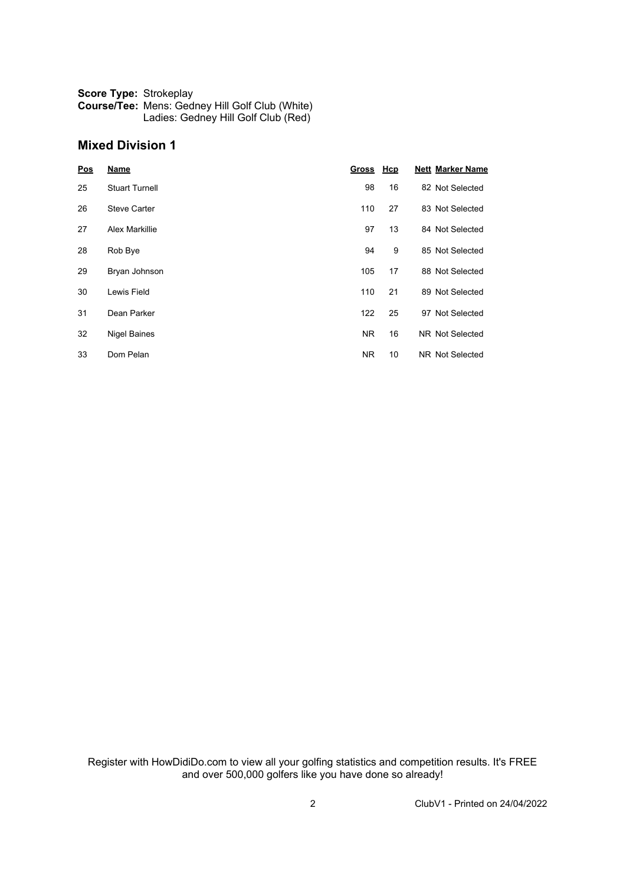| <b>Score Type: Strokeplay</b> |                                                        |
|-------------------------------|--------------------------------------------------------|
|                               | <b>Course/Tee: Mens: Gedney Hill Golf Club (White)</b> |
|                               | Ladies: Gedney Hill Golf Club (Red)                    |

### **Mixed Division 1**

| Pos | <b>Name</b>           | <b>Gross</b> | Hcp | <b>Nett Marker Name</b> |
|-----|-----------------------|--------------|-----|-------------------------|
| 25  | <b>Stuart Turnell</b> | 98           | 16  | 82 Not Selected         |
| 26  | <b>Steve Carter</b>   | 110          | 27  | 83 Not Selected         |
| 27  | <b>Alex Markillie</b> | 97           | 13  | 84 Not Selected         |
| 28  | Rob Bye               | 94           | 9   | 85 Not Selected         |
| 29  | Bryan Johnson         | 105          | 17  | 88 Not Selected         |
| 30  | Lewis Field           | 110          | 21  | 89 Not Selected         |
| 31  | Dean Parker           | 122          | 25  | 97 Not Selected         |
| 32  | <b>Nigel Baines</b>   | <b>NR</b>    | 16  | NR Not Selected         |
| 33  | Dom Pelan             | NR.          | 10  | NR Not Selected         |

Register with HowDidiDo.com to view all your golfing statistics and competition results. It's FREE and over 500,000 golfers like you have done so already!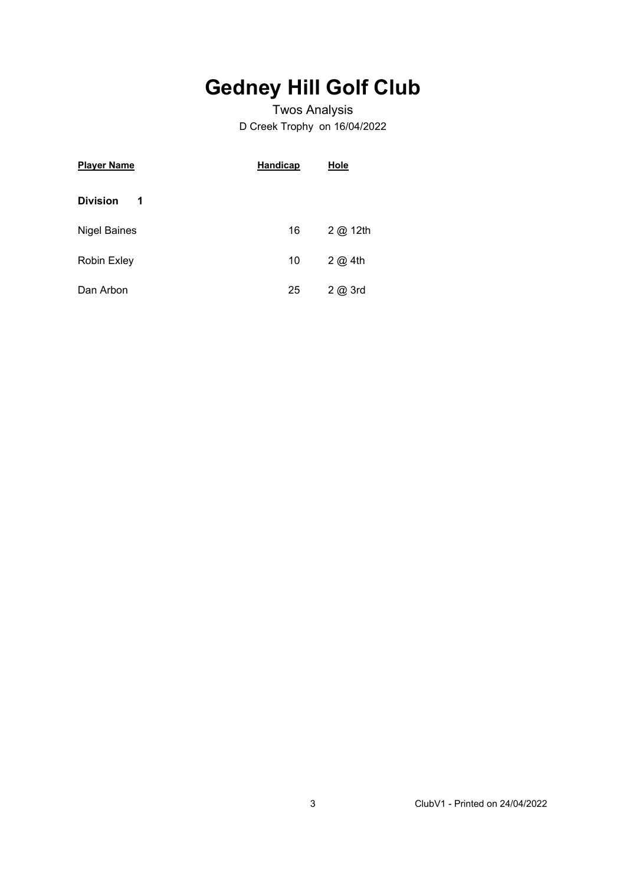# **Gedney Hill Golf Club**

### Twos Analysis D Creek Trophy on 16/04/2022

| <b>Player Name</b>   | <b>Handicap</b> | Hole             |
|----------------------|-----------------|------------------|
| <b>Division</b><br>1 |                 |                  |
| <b>Nigel Baines</b>  | 16              | 2 @ 12th         |
| Robin Exley          | 10              | $2$ $\omega$ 4th |
| Dan Arbon            | 25              | 2@3rd            |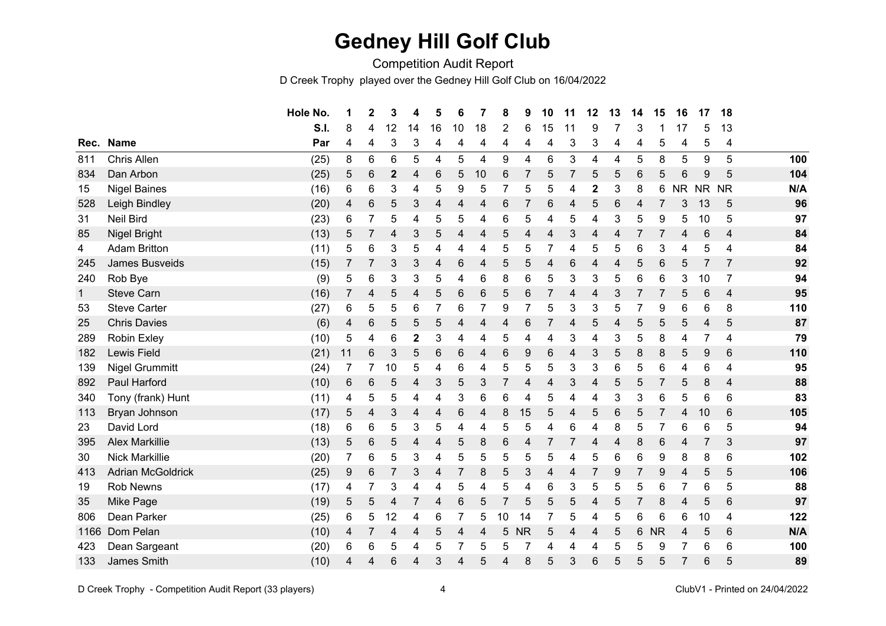## **Gedney Hill Golf Club**

Competition Audit Report

D Creek Trophy played over the Gedney Hill Golf Club on 16/04/2022

|              |                          | Hole No. | 1              | $\mathbf 2$ | 3            | 4              | 5  | 6  | 7  | 8  | 9         | 10 | 11 | 12 | 13 | 14 | 15        | 16        | 17              | 18                      |     |
|--------------|--------------------------|----------|----------------|-------------|--------------|----------------|----|----|----|----|-----------|----|----|----|----|----|-----------|-----------|-----------------|-------------------------|-----|
|              |                          | S.I.     | 8              | 4           | 12           | 14             | 16 | 10 | 18 | 2  | 6         | 15 | 11 | 9  |    | 3  |           | 17        | 5               | 13                      |     |
| Rec.         | <b>Name</b>              | Par      | 4              | 4           | 3            | 3              | 4  | 4  | 4  | 4  | 4         | 4  | 3  | 3  | 4  | 4  | 5         | 4         | 5               | 4                       |     |
| 811          | Chris Allen              | (25)     | 8              | 6           | 6            | 5              | 4  | 5  | 4  | 9  | 4         | 6  | 3  | 4  | 4  | 5  | 8         | 5         | 9               | 5                       | 100 |
| 834          | Dan Arbon                | (25)     | 5              | 6           | $\mathbf{2}$ | 4              | 6  | 5  | 10 | 6  | 7         | 5  | 7  | 5  | 5  | 6  | 5         | 6         | 9               | 5                       | 104 |
| 15           | <b>Nigel Baines</b>      | (16)     | 6              | 6           | 3            | 4              | 5  | 9  | 5  |    | 5         | 5  | 4  | 2  | 3  | 8  | 6         | <b>NR</b> | <b>NR</b>       | <b>NR</b>               | N/A |
| 528          | Leigh Bindley            | (20)     | 4              | 6           | 5            | 3              | 4  | 4  | 4  | 6  | 7         | 6  | 4  | 5  | 6  | 4  |           | 3         | 13              | 5                       | 96  |
| 31           | <b>Neil Bird</b>         | (23)     | 6              | 7           | 5            | 4              | 5  | 5  | 4  | 6  | 5         | 4  | 5  | 4  | 3  | 5  | 9         | 5         | 10              | 5                       | 97  |
| 85           | Nigel Bright             | (13)     | 5              | 7           | 4            | $\mathfrak{B}$ | 5  | 4  | 4  | 5  | 4         | 4  | 3  | 4  | 4  | 7  | 7         | 4         | $6\phantom{1}6$ | $\overline{4}$          | 84  |
| 4            | <b>Adam Britton</b>      | (11)     | 5              | 6           | 3            | 5              | 4  | 4  | 4  | 5  | 5         | 7  | 4  | 5  | 5  | 6  | 3         | 4         | 5               | 4                       | 84  |
| 245          | James Busveids           | (15)     |                | 7           | 3            | 3              | 4  | 6  | 4  | 5  | 5         | 4  | 6  | 4  | 4  | 5  | 6         | 5         | $\overline{7}$  | $\overline{7}$          | 92  |
| 240          | Rob Bye                  | (9)      | 5              | 6           | 3            | 3              | 5  | 4  | 6  | 8  | 6         | 5  | 3  | 3  | 5  | 6  | 6         | 3         | 10              | 7                       | 94  |
| $\mathbf{1}$ | <b>Steve Carn</b>        | (16)     | 7              | 4           | 5            | 4              | 5  | 6  | 6  | 5  | 6         | 7  | 4  | 4  | 3  |    |           | 5         | $6\phantom{1}6$ | $\overline{4}$          | 95  |
| 53           | <b>Steve Carter</b>      | (27)     | 6              | 5           | 5            | 6              | 7  | 6  | 7  | 9  | 7         | 5  | 3  | 3  | 5  | 7  | 9         | 6         | 6               | 8                       | 110 |
| 25           | <b>Chris Davies</b>      | (6)      | 4              | 6           | 5            | 5              | 5  | 4  | 4  | 4  | 6         | 7  | 4  | 5  | 4  | 5  | 5         | 5         | 4               | 5                       | 87  |
| 289          | Robin Exley              | (10)     | 5              | 4           | 6            | $\mathbf 2$    | 3  | 4  | 4  | 5  | 4         | 4  | 3  | 4  | 3  | 5  | 8         | 4         | $\overline{7}$  | $\overline{\mathbf{4}}$ | 79  |
| 182          | Lewis Field              | (21)     | 11             | $\,6$       | 3            | 5              | 6  | 6  | 4  | 6  | 9         | 6  | 4  | 3  | 5  | 8  | 8         | 5         | 9               | $6\phantom{1}6$         | 110 |
| 139          | <b>Nigel Grummitt</b>    | (24)     |                |             | 10           | 5              | 4  | 6  | 4  | 5  | 5         | 5  | 3  | 3  | 6  | 5  | 6         | 4         | $\,6$           | 4                       | 95  |
| 892          | Paul Harford             | (10)     | 6              | 6           | 5            | 4              | 3  | 5  | 3  | 7  | 4         | 4  | 3  | 4  | 5  | 5  | 7         | 5         | 8               | $\overline{4}$          | 88  |
| 340          | Tony (frank) Hunt        | (11)     | 4              | 5           | 5            | 4              | 4  | 3  | 6  | 6  | 4         | 5  | 4  | 4  | 3  | 3  | 6         | 5         | 6               | 6                       | 83  |
| 113          | Bryan Johnson            | (17)     | 5              | 4           | 3            | 4              | 4  | 6  | 4  | 8  | 15        | 5  | 4  | 5  | 6  | 5  | 7         | 4         | 10              | 6                       | 105 |
| 23           | David Lord               | (18)     | 6              | 6           | 5            | 3              | 5  | 4  | 4  | 5  | 5         | 4  | 6  | 4  | 8  | 5  | 7         | 6         | $\,6$           | 5                       | 94  |
| 395          | <b>Alex Markillie</b>    | (13)     | 5              | 6           | 5            | 4              | 4  | 5  | 8  | 6  | 4         | 7  | 7  | 4  | 4  | 8  | 6         | 4         | 7               | 3                       | 97  |
| 30           | Nick Markillie           | (20)     | $\overline{7}$ | 6           | 5            | 3              | 4  | 5  | 5  | 5  | 5         | 5  | 4  | 5  | 6  | 6  | 9         | 8         | 8               | 6                       | 102 |
| 413          | <b>Adrian McGoldrick</b> | (25)     | 9              | 6           | 7            | 3              | 4  | 7  | 8  | 5  | 3         | 4  | 4  |    | 9  | 7  | 9         | 4         | 5               | 5                       | 106 |
| 19           | <b>Rob Newns</b>         | (17)     | 4              | 7           | 3            | 4              | 4  | 5  | 4  | 5  | 4         | 6  | 3  | 5  | 5  | 5  | 6         | 7         | 6               | 5                       | 88  |
| 35           | Mike Page                | (19)     | 5              | 5           | 4            |                | 4  | 6  | 5  | 7  | 5         | 5  | 5  | 4  | 5  | 7  | 8         | 4         | 5               | $6\phantom{1}6$         | 97  |
| 806          | Dean Parker              | (25)     | 6              | 5           | 12           | 4              | 6  | 7  | 5  | 10 | 14        | 7  | 5  | 4  | 5  | 6  | 6         | 6         | 10              | 4                       | 122 |
| 1166         | Dom Pelan                | (10)     | 4              | 7           | 4            | 4              | 5  | 4  | 4  | 5  | <b>NR</b> | 5  | 4  | 4  | 5  | 6  | <b>NR</b> | 4         | 5               | $6\phantom{1}6$         | N/A |
| 423          | Dean Sargeant            | (20)     | 6              | 6           | 5            | 4              | 5  |    | 5  | 5  | 7         | 4  | 4  | 4  | 5  | 5  | 9         | 7         | 6               | 6                       | 100 |
| 133          | James Smith              | (10)     | 4              | 4           | 6            | 4              | 3  | 4  | 5  | 4  | 8         | 5  | 3  | 6  | 5  | 5  | 5         | 7         | 6               | 5                       | 89  |